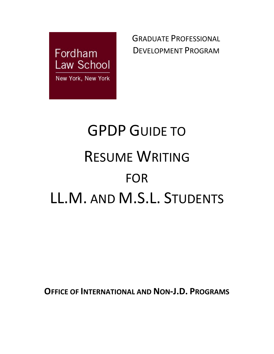

GRADUATE PROFESSIONAL DEVELOPMENT PROGRAM

# GPDP GUIDE TO RESUME WRITING FOR LL.M. AND M.S.L. STUDENTS

**OFFICE OF INTERNATIONAL AND NON-J.D. PROGRAMS**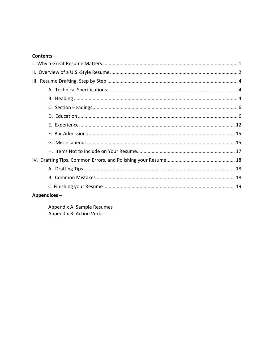#### Contents-

#### $Appendices -$

Appendix A: Sample Resumes Appendix B: Action Verbs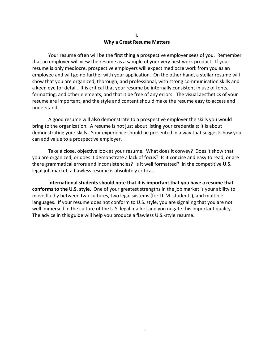#### **I. Why a Great Resume Matters**

Your resume often will be the first thing a prospective employer sees of you. Remember that an employer will view the resume as a sample of your very best work product. If your resume is only mediocre, prospective employers will expect mediocre work from you as an employee and will go no further with your application. On the other hand, a stellar resume will show that you are organized, thorough, and professional, with strong communication skills and a keen eye for detail. It is critical that your resume be internally consistent in use of fonts, formatting, and other elements; and that it be free of any errors. The visual aesthetics of your resume are important, and the style and content should make the resume easy to access and understand.

A good resume will also demonstrate to a prospective employer the skills you would bring to the organization. A resume is not just about listing your credentials; it is about demonstrating your skills. Your experience should be presented in a way that suggests how you can add value to a prospective employer.

Take a close, objective look at your resume. What does it convey? Does it show that you are organized, or does it demonstrate a lack of focus? Is it concise and easy to read, or are there grammatical errors and inconsistencies? Is it well formatted? In the competitive U.S. legal job market, a flawless resume is absolutely critical.

**International students should note that it is important that you have a resume that conforms to the U.S. style.** One of your greatest strengths in the job market is your ability to move fluidly between two cultures, two legal systems (for LL.M. students), and multiple languages. If your resume does not conform to U.S. style, you are signaling that you are not well immersed in the culture of the U.S. legal market and you negate this important quality. The advice in this guide will help you produce a flawless U.S.-style resume.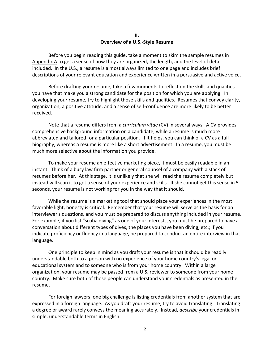#### **II. Overview of a U.S.-Style Resume**

Before you begin reading this guide, take a moment to skim the sample resumes in Appendix A to get a sense of how they are organized, the length, and the level of detail included. In the U.S., a resume is almost always limited to one page and includes brief descriptions of your relevant education and experience written in a persuasive and active voice.

Before drafting your resume, take a few moments to reflect on the skills and qualities you have that make you a strong candidate for the position for which you are applying. In developing your resume, try to highlight those skills and qualities. Resumes that convey clarity, organization, a positive attitude, and a sense of self-confidence are more likely to be better received.

Note that a resume differs from a *curriculum vitae* (CV) in several ways. A CV provides comprehensive background information on a candidate, while a resume is much more abbreviated and tailored for a particular position. If it helps, you can think of a CV as a full biography, whereas a resume is more like a short advertisement. In a resume, you must be much more selective about the information you provide.

To make your resume an effective marketing piece, it must be easily readable in an instant. Think of a busy law firm partner or general counsel of a company with a stack of resumes before her. At this stage, it is unlikely that she will read the resume completely but instead will scan it to get a sense of your experience and skills. If she cannot get this sense in 5 seconds, your resume is not working for you in the way that it should.

While the resume is a marketing tool that should place your experiences in the most favorable light, honesty is critical. Remember that your resume will serve as the basis for an interviewer's questions, and you must be prepared to discuss anything included in your resume. For example, if you list "scuba diving" as one of your interests, you must be prepared to have a conversation about different types of dives, the places you have been diving, etc.; if you indicate proficiency or fluency in a language, be prepared to conduct an entire interview in that language.

One principle to keep in mind as you draft your resume is that it should be readily understandable both to a person with no experience of your home country's legal or educational system and to someone who is from your home country. Within a large organization, your resume may be passed from a U.S. reviewer to someone from your home country. Make sure both of those people can understand your credentials as presented in the resume.

For foreign lawyers, one big challenge is listing credentials from another system that are expressed in a foreign language. As you draft your resume, try to avoid translating. Translating a degree or award rarely conveys the meaning accurately. Instead, *describe* your credentials in simple, understandable terms in English.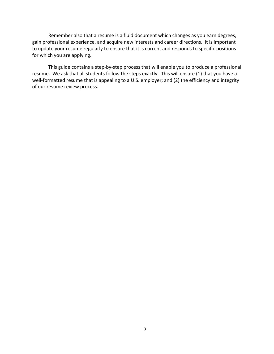Remember also that a resume is a fluid document which changes as you earn degrees, gain professional experience, and acquire new interests and career directions. It is important to update your resume regularly to ensure that it is current and responds to specific positions for which you are applying.

This guide contains a step-by-step process that will enable you to produce a professional resume. We ask that all students follow the steps exactly. This will ensure (1) that you have a well-formatted resume that is appealing to a U.S. employer; and (2) the efficiency and integrity of our resume review process.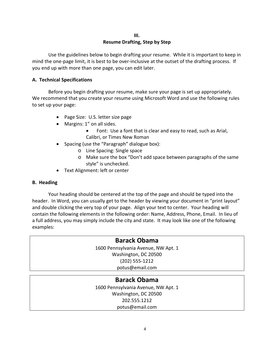# **Resume Drafting, Step by Step**

Use the guidelines below to begin drafting your resume. While it is important to keep in mind the one-page limit, it is best to be over-inclusive at the outset of the drafting process. If you end up with more than one page, you can edit later.

#### **A. Technical Specifications**

Before you begin drafting your resume, make sure your page is set up appropriately. We recommend that you create your resume using Microsoft Word and use the following rules to set up your page:

- Page Size: U.S. letter size page
- Margins: 1" on all sides.
	- Font: Use a font that is clear and easy to read, such as Arial, Calibri, or Times New Roman
- Spacing (use the "Paragraph" dialogue box):
	- o Line Spacing: Single space
	- o Make sure the box "Don't add space between paragraphs of the same style" is unchecked.
- Text Alignment: left or center

#### **B. Heading**

Your heading should be centered at the top of the page and should be typed into the header. In Word, you can usually get to the header by viewing your document in "print layout" and double clicking the very top of your page. Align your text to center. Your heading will contain the following elements in the following order: Name, Address, Phone, Email. In lieu of a full address, you may simply include the city and state. It may look like one of the following examples:

# **Barack Obama**

1600 Pennsylvania Avenue, NW Apt. 1 Washington, DC 20500 (202) 555-1212 potus@email.com

# **Barack Obama**

1600 Pennsylvania Avenue, NW Apt. 1 Washington, DC 20500 202.555.1212 potus@email.com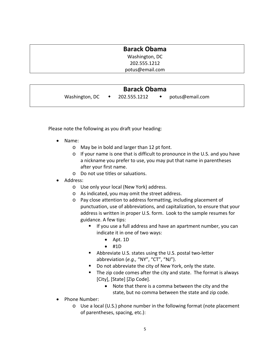| <b>Barack Obama</b> |  |
|---------------------|--|
| Washington, DC      |  |
| 202.555.1212        |  |
| potus@email.com     |  |
|                     |  |

| <b>Barack Obama</b> |  |              |  |                 |  |
|---------------------|--|--------------|--|-----------------|--|
| Washington, DC      |  | 202.555.1212 |  | potus@email.com |  |

Please note the following as you draft your heading:

- Name:
	- o May be in bold and larger than 12 pt font.
	- o If your name is one that is difficult to pronounce in the U.S. and you have a nickname you prefer to use, you may put that name in parentheses after your first name.
	- o Do not use titles or saluations.
- Address:
	- o Use only your local (New York) address.
	- o As indicated, you may omit the street address.
	- o Pay close attention to address formatting, including placement of punctuation, use of abbreviations, and capitalization, to ensure that your address is written in proper U.S. form. Look to the sample resumes for guidance. A few tips:
		- **If you use a full address and have an apartment number, you can** indicate it in one of two ways:
			- Apt. 1D
			- #1D
		- Abbreviate U.S. states using the U.S. postal two-letter abbreviation (*e.g.,* "NY", "CT", "NJ").
		- Do not abbreviate the city of New York, only the state.
		- The zip code comes after the city and state. The format is always [City], [State] [Zip Code].
			- Note that there is a comma between the city and the state, but no comma between the state and zip code.
- Phone Number:
	- o Use a local (U.S.) phone number in the following format (note placement of parentheses, spacing, etc.):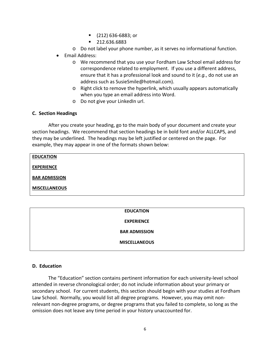- (212) 636-6883; or
- 212.636.6883
- o Do not label your phone number, as it serves no informational function.
- Email Address:
	- o We recommend that you use your Fordham Law School email address for correspondence related to employment. If you use a different address, ensure that it has a professional look and sound to it (*e.g.*, do not use an address such as SusieSmile@hotmail.com).
	- o Right click to remove the hyperlink, which usually appears automatically when you type an email address into Word.
	- o Do not give your LinkedIn url.

#### **C. Section Headings**

After you create your heading, go to the main body of your document and create your section headings. We recommend that section headings be in bold font and/or ALLCAPS, and they may be underlined. The headings may be left justified or centered on the page. For example, they may appear in one of the formats shown below:

#### **EDUCATION**

**EXPERIENCE**

**BAR ADMISSION**

**MISCELLANEOUS**

#### **EDUCATION**

**EXPERIENCE**

**BAR ADMISSION**

**MISCELLANEOUS**

#### **D. Education**

The "Education" section contains pertinent information for each university-level school attended in reverse chronological order; do not include information about your primary or secondary school. For current students, this section should begin with your studies at Fordham Law School. Normally, you would list all degree programs. However, you may omit nonrelevant non-degree programs, or degree programs that you failed to complete, so long as the omission does not leave any time period in your history unaccounted for.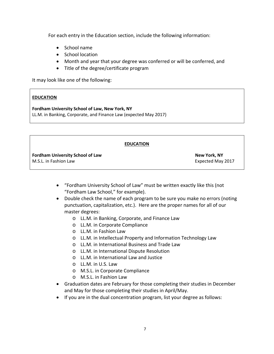For each entry in the Education section, include the following information:

- School name
- School location
- Month and year that your degree was conferred or will be conferred, and
- Title of the degree/certificate program

It may look like one of the following:

# **EDUCATION**

**Fordham University School of Law, New York, NY** LL.M. in Banking, Corporate, and Finance Law (expected May 2017)

#### **EDUCATION**

**Fordham University School of Law New York, NY** M.S.L. in Fashion Law **Expected May 2017** 

- "Fordham University School of Law" must be written exactly like this (not "Fordham Law School," for example).
- Double check the name of each program to be sure you make no errors (noting punctuation, capitalization, etc.). Here are the proper names for all of our master degrees:
	- o LL.M. in Banking, Corporate, and Finance Law
	- o LL.M. in Corporate Compliance
	- o LL.M. in Fashion Law
	- o LL.M. in Intellectual Property and Information Technology Law
	- o LL.M. in International Business and Trade Law
	- o LL.M. in International Dispute Resolution
	- o LL.M. in International Law and Justice
	- o LL.M. in U.S. Law
	- o M.S.L. in Corporate Compliance
	- o M.S.L. in Fashion Law
- Graduation dates are February for those completing their studies in December and May for those completing their studies in April/May.
- If you are in the dual concentration program, list your degree as follows: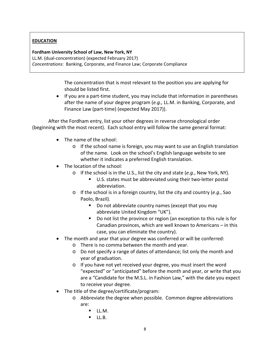# **EDUCATION**

# **Fordham University School of Law, New York, NY**

LL.M. (dual-concentration) (expected February 2017) *Concentrations*: Banking, Corporate, and Finance Law; Corporate Compliance

> The concentration that is most relevant to the position you are applying for should be listed first.

• If you are a part-time student, you may include that information in parentheses after the name of your degree program (*e.g.,* LL.M. in Banking, Corporate, and Finance Law (part-time) (expected May 2017)).

After the Fordham entry, list your other degrees in reverse chronological order (beginning with the most recent). Each school entry will follow the same general format:

- The name of the school:
	- o If the school name is foreign, you may want to use an English translation of the name. Look on the school's English language website to see whether it indicates a preferred English translation.
- The location of the school:
	- o If the school is in the U.S., list the city and state (*e.g.*, New York, NY).
		- U.S. states must be abbreviated using their two-letter postal abbreviation.
	- o If the school is in a foreign country, list the city and country (*e.g.*, Sao Paolo, Brazil).
		- Do not abbreviate country names (except that you may abbreviate United Kingdom "UK").
		- Do not list the province or region (an exception to this rule is for Canadian provinces, which are well known to Americans – in this case, you can eliminate the country).
- The month and year that your degree was conferred or will be conferred:
	- o There is no comma between the month and year.
	- o Do not specify a range of dates of attendance; list only the month and year of graduation.
	- o If you have not yet received your degree, you must insert the word "expected" or "anticipated" before the month and year, or write that you are a "Candidate for the M.S.L. in Fashion Law," with the date you expect to receive your degree.
- The title of the degree/certificate/program:
	- o Abbreviate the degree when possible. Common degree abbreviations are:
		- $\blacksquare$  II.M.
		- $LL.B.$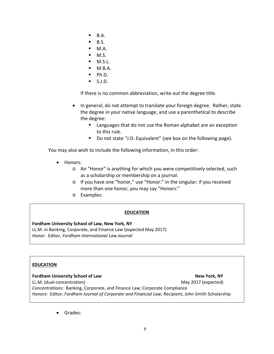- $B.A.$
- B.S.
- M.A.
- M.S.
- M.S.L.
- $M.B.A.$
- Ph.D.
- S.J.D.

If there is no common abbreviation, write out the degree title.

- In general, do not attempt to translate your foreign degree. Rather, state the degree in your native language, and use a parenthetical to describe the degree:
	- **E** Languages that do not use the Roman alphabet are an exception to this rule.
	- Do not state "J.D. Equivalent" (see box on the following page).

You may also wish to include the following information, in this order:

- Honors:
	- o An "Honor" is anything for which you were competitively selected, such as a scholarship or membership on a journal.
	- o If you have one "honor," use "Honor:" in the singular; if you received more than one honor, you may say "Honors:"
	- o Examples:

#### **EDUCATION**

#### **Fordham University School of Law, New York, NY**

LL.M. in Banking, Corporate, and Finance Law (expected May 2017) *Honor*: Editor, *Fordham International Law Journal*

#### **EDUCATION**

#### **Fordham University School of Law New York, NY**

LL.M. (dual-concentration) May 2017 (expected) *Concentrations*: Banking, Corporate, and Finance Law; Corporate Compliance *Honors*: Editor, *Fordham Journal of Corporate and Financial Law*; Recipient, John Smith Scholarship

• Grades: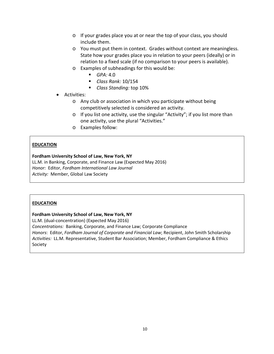- o If your grades place you at or near the top of your class, you should include them.
- o You must put them in context. Grades without context are meaningless. State how your grades place you in relation to your peers (ideally) or in relation to a fixed scale (if no comparison to your peers is available).
- o Examples of subheadings for this would be:
	- $GPA: 4.0$
	- *Class Rank:* 10/154
	- *Class Standing:* top 10%
- Activities:
	- o Any club or association in which you participate without being competitively selected is considered an activity.
	- o If you list one activity, use the singular "Activity"; if you list more than one activity, use the plural "Activities."
	- o Examples follow:

#### **EDUCATION**

#### **Fordham University School of Law, New York, NY**

LL.M. in Banking, Corporate, and Finance Law (Expected May 2016) *Honor:* Editor, *Fordham International Law Journal Activity:* Member, Global Law Society

#### **EDUCATION**

#### **Fordham University School of Law, New York, NY**

LL.M. (dual-concentration) (Expected May 2016) *Concentrations:* Banking, Corporate, and Finance Law; Corporate Compliance *Honors*: Editor, *Fordham Journal of Corporate and Financial Law*; Recipient, John Smith Scholarship *Activities:* LL.M. Representative, Student Bar Association; Member, Fordham Compliance & Ethics Society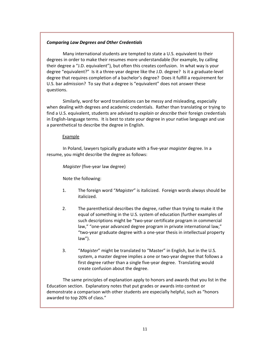#### *Comparing Law Degrees and Other Credentials*

Many international students are tempted to state a U.S. equivalent to their degrees in order to make their resumes more understandable (for example, by calling their degree a "J.D. equivalent"), but often this creates confusion. In what way is your degree "equivalent?" Is it a three-year degree like the J.D. degree? Is it a graduate-level degree that requires completion of a bachelor's degree? Does it fulfill a requirement for U.S. bar admission? To say that a degree is "equivalent" does not answer these questions.

Similarly, word for word translations can be messy and misleading, especially when dealing with degrees and academic credentials. Rather than translating or trying to find a U.S. equivalent, students are advised to *explain* or *describe* their foreign credentials in English-language terms. It is best to state your degree in your native language and use a parenthetical to describe the degree in English.

#### Example

In Poland, lawyers typically graduate with a five-year *magister* degree. In a resume, you might describe the degree as follows:

*Magister* (five-year law degree)

Note the following:

- 1. The foreign word "*Magister*" is italicized. Foreign words always should be italicized.
- 2. The parenthetical describes the degree, rather than trying to make it the equal of something in the U.S. system of education (further examples of such descriptions might be "two-year certificate program in commercial law," "one-year advanced degree program in private international law," "two-year graduate degree with a one-year thesis in intellectual property law").
- 3. "*Magister*" might be translated to "Master" in English, but in the U.S. system, a master degree implies a one or two-year degree that follows a first degree rather than a single five-year degree. Translating would create confusion about the degree.

The same principles of explanation apply to honors and awards that you list in the Education section. Explanatory notes that put grades or awards into context or demonstrate a comparison with other students are especially helpful, such as "honors awarded to top 20% of class."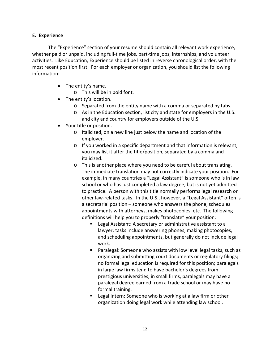#### **E. Experience**

The "Experience" section of your resume should contain all relevant work experience, whether paid or unpaid, including full-time jobs, part-time jobs, internships, and volunteer activities. Like Education, Experience should be listed in reverse chronological order, with the most recent position first. For each employer or organization, you should list the following information:

- The entity's name.
	- o This will be in bold font.
- The entity's location.
	- o Separated from the entity name with a comma or separated by tabs.
	- o As in the Education section, list city and state for employers in the U.S. and city and country for employers outside of the U.S.
- Your title or position.
	- o Italicized, on a new line just below the name and location of the employer.
	- o If you worked in a specific department and that information is relevant, you may list it after the title/position, separated by a comma and italicized.
	- o This is another place where you need to be careful about translating. The immediate translation may not correctly indicate your position. For example, in many countries a "Legal Assistant" is someone who is in law school or who has just completed a law degree, but is not yet admitted to practice. A person with this title normally performs legal research or other law-related tasks. In the U.S., however, a "Legal Assistant" often is a secretarial position – someone who answers the phone, schedules appointments with attorneys, makes photocopies, etc. The following definitions will help you to properly "translate" your position:
		- Legal Assistant: A secretary or administrative assistant to a lawyer; tasks include answering phones, making photocopies, and scheduling appointments, but generally do not include legal work.
		- Paralegal: Someone who assists with low level legal tasks, such as organizing and submitting court documents or regulatory filings; no formal legal education is required for this position; paralegals in large law firms tend to have bachelor's degrees from prestigious universities; in small firms, paralegals may have a paralegal degree earned from a trade school or may have no formal training.
		- **EXTERGAL INTERNAL EXAM** Legal Intern: Someone who is working at a law firm or other organization doing legal work while attending law school.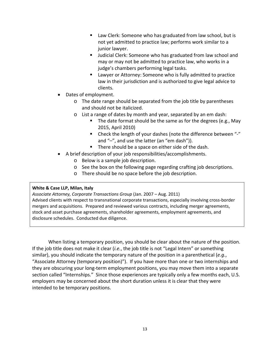- Law Clerk: Someone who has graduated from law school, but is not yet admitted to practice law; performs work similar to a junior lawyer.
- Judicial Clerk: Someone who has graduated from law school and may or may not be admitted to practice law, who works in a judge's chambers performing legal tasks.
- Lawyer or Attorney: Someone who is fully admitted to practice law in their jurisdiction and is authorized to give legal advice to clients.
- Dates of employment.
	- o The date range should be separated from the job title by parentheses and should not be italicized.
	- o List a range of dates by month and year, separated by an em dash:
		- The date format should be the same as for the degrees (e.g., May 2015, April 2010)
		- Check the length of your dashes (note the difference between "-" and "–", and use the latter (an "em dash")).
		- **There should be a space on either side of the dash.**
- A brief description of your job responsibilities/accomplishments.
	- o Below is a sample job description.
	- o See the box on the following page regarding crafting job descriptions.
	- o There should be no space before the job description.

#### **White & Case LLP, Milan, Italy**

*Associate Attorney, Corporate Transactions Group* (Jan. 2007 – Aug. 2011) Advised clients with respect to transnational corporate transactions, especially involving cross-border mergers and acquisitions. Prepared and reviewed various contracts, including merger agreements, stock and asset purchase agreements, shareholder agreements, employment agreements, and disclosure schedules. Conducted due diligence.

When listing a temporary position, you should be clear about the nature of the position. If the job title does not make it clear (*i.e.*, the job title is not "Legal Intern" or something similar), you should indicate the temporary nature of the position in a parenthetical (*e.g.*, "Associate Attorney (temporary position)"). If you have more than one or two internships and they are obscuring your long-term employment positions, you may move them into a separate section called "Internships." Since those experiences are typically only a few months each, U.S. employers may be concerned about the short duration unless it is clear that they were intended to be temporary positions.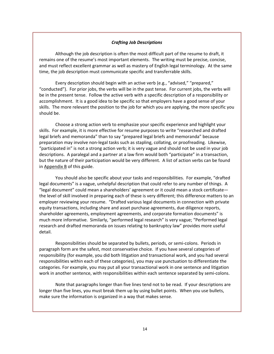#### *Crafting Job Descriptions*

Although the job description is often the most difficult part of the resume to draft, it remains one of the resume's most important elements. The writing must be precise, concise, and must reflect excellent grammar as well as mastery of English legal terminology. At the same time, the job description must communicate specific and transferrable skills.

Every description should begin with an active verb (e.g*.*, "advised," "prepared," "conducted"). For prior jobs, the verbs will be in the past tense. For current jobs, the verbs will be in the present tense. Follow the active verb with a specific description of a responsibility or accomplishment. It is a good idea to be specific so that employers have a good sense of your skills. The more relevant the position to the job for which you are applying, the more specific you should be.

Choose a strong action verb to emphasize your specific experience and highlight your skills. For example, it is more effective for resume purposes to write "researched and drafted legal briefs and memoranda" than to say "prepared legal briefs and memoranda" because preparation may involve non-legal tasks such as stapling, collating, or proofreading. Likewise, "participated in" is not a strong action verb; it is very vague and should not be used in your job descriptions. A paralegal and a partner at a law firm would both "participate" in a transaction, but the nature of their participation would be very different. A list of action verbs can be found in Appendix B of this guide.

You should also be specific about your tasks and responsibilities. For example, "drafted legal documents" is a vague, unhelpful description that could refer to any number of things. A "legal document" could mean a shareholders' agreement or it could mean a stock certificate the level of skill involved in preparing each of these is very different; this difference matters to an employer reviewing your resume. "Drafted various legal documents in connection with private equity transactions, including share and asset purchase agreements, due diligence reports, shareholder agreements, employment agreements, and corporate formation documents" is much more informative. Similarly, "performed legal research" is very vague; "Performed legal research and drafted memoranda on issues relating to bankruptcy law" provides more useful detail.

Responsibilities should be separated by bullets, periods, or semi-colons. Periods in paragraph form are the safest, most conservative choice. If you have several categories of responsibility (for example, you did both litigation and transactional work, and you had several responsibilities within each of these categories), you may use punctuation to differentiate the categories. For example, you may put all your transactional work in one sentence and litigation work in another sentence, with responsibilities within each sentence separated by semi-colons.

Note that paragraphs longer than five lines tend not to be read. If your descriptions are longer than five lines, you must break them up by using bullet points. When you use bullets, make sure the information is organized in a way that makes sense.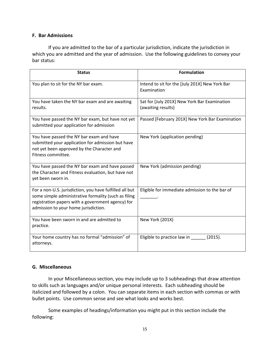### **F. Bar Admissions**

If you are admitted to the bar of a particular jurisdiction, indicate the jurisdiction in which you are admitted and the year of admission. Use the following guidelines to convey your bar status:

| <b>Status</b>                                                                                                                                                                                                | <b>Formulation</b>                                                 |  |  |
|--------------------------------------------------------------------------------------------------------------------------------------------------------------------------------------------------------------|--------------------------------------------------------------------|--|--|
| You plan to sit for the NY bar exam.                                                                                                                                                                         | Intend to sit for the [July 201X] New York Bar<br>Examination      |  |  |
| You have taken the NY bar exam and are awaiting<br>results.                                                                                                                                                  | Sat for [July 201X] New York Bar Examination<br>(awaiting results) |  |  |
| You have passed the NY bar exam, but have not yet<br>submitted your application for admission                                                                                                                | Passed [February 201X] New York Bar Examination                    |  |  |
| You have passed the NY bar exam and have<br>submitted your application for admission but have<br>not yet been approved by the Character and<br>Fitness committee.                                            | New York (application pending)                                     |  |  |
| You have passed the NY bar exam and have passed<br>the Character and Fitness evaluation, but have not<br>yet been sworn in.                                                                                  | New York (admission pending)                                       |  |  |
| For a non-U.S. jurisdiction, you have fulfilled all but<br>some simple administrative formality (such as filing<br>registration papers with a government agency) for<br>admission to your home jurisdiction. | Eligible for immediate admission to the bar of                     |  |  |
| You have been sworn in and are admitted to<br>practice.                                                                                                                                                      | New York (201X)                                                    |  |  |
| Your home country has no formal "admission" of<br>attorneys.                                                                                                                                                 | Eligible to practice law in<br>(2015).                             |  |  |

#### **G. Miscellaneous**

In your Miscellaneous section, you may include up to 3 subheadings that draw attention to skills such as languages and/or unique personal interests. Each subheading should be italicized and followed by a colon. You can separate items in each section with commas or with bullet points. Use common sense and see what looks and works best.

Some examples of headings/information you might put in this section include the following: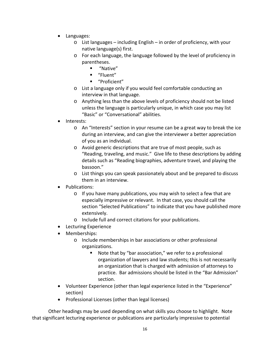- Languages:
	- o List languages including English in order of proficiency, with your native language(s) first.
	- o For each language, the language followed by the level of proficiency in parentheses.
		- "Native"
		- "Fluent"
		- "Proficient"
	- o List a language only if you would feel comfortable conducting an interview in that language.
	- o Anything less than the above levels of proficiency should not be listed unless the language is particularly unique, in which case you may list "Basic" or "Conversational" abilities.
- Interests:
	- o An "Interests" section in your resume can be a great way to break the ice during an interview, and can give the interviewer a better appreciation of you as an individual.
	- o Avoid generic descriptions that are true of most people, such as "Reading, traveling, and music." Give life to these descriptions by adding details such as "Reading biographies, adventure travel, and playing the bassoon."
	- o List things you can speak passionately about and be prepared to discuss them in an interview.
- Publications:
	- o If you have many publications, you may wish to select a few that are especially impressive or relevant. In that case, you should call the section "Selected Publications" to indicate that you have published more extensively.
	- o Include full and correct citations for your publications.
- Lecturing Experience
- Memberships:
	- o Include memberships in bar associations or other professional organizations.
		- Note that by "bar association," we refer to a professional organization of lawyers and law students; this is not necessarily an organization that is charged with admission of attorneys to practice. Bar admissions should be listed in the "Bar Admission" section.
- Volunteer Experience (other than legal experience listed in the "Experience" section)
- Professional Licenses (other than legal licenses)

Other headings may be used depending on what skills you choose to highlight. Note that significant lecturing experience or publications are particularly impressive to potential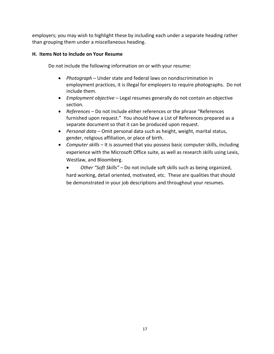employers; you may wish to highlight these by including each under a separate heading rather than grouping them under a miscellaneous heading.

# **H. Items Not to Include on Your Resume**

Do not include the following information on or with your resume:

- *Photograph* Under state and federal laws on nondiscrimination in employment practices, it is illegal for employers to require photographs. Do not include them.
- *Employment objective* Legal resumes generally do not contain an objective section.
- *References –* Do not include either references or the phrase "References furnished upon request." You should have a List of References prepared as a separate document so that it can be produced upon request.
- *Personal data* Omit personal data such as height, weight, marital status, gender, religious affiliation, or place of birth.
- *Computer skills* It is assumed that you possess basic computer skills, including experience with the Microsoft Office suite, as well as research skills using Lexis, Westlaw, and Bloomberg.
	- *Other "Soft Skills"* Do not include soft skills such as being organized, hard working, detail oriented, motivated, etc. These are qualities that should be demonstrated in your job descriptions and throughout your resumes.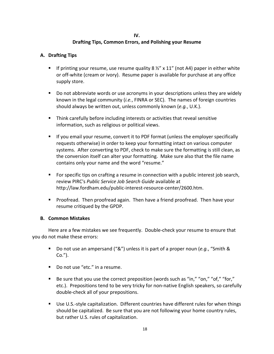## **IV.**

# **Drafting Tips, Common Errors, and Polishing your Resume**

# **A. Drafting Tips**

- If printing your resume, use resume quality 8  $\frac{1}{2}$  x 11" (not A4) paper in either white or off-white (cream or ivory). Resume paper is available for purchase at any office supply store.
- Do not abbreviate words or use acronyms in your descriptions unless they are widely known in the legal community (*i.e.*, FINRA or SEC). The names of foreign countries should always be written out, unless commonly known (*e.g.*, U.K.).
- Think carefully before including interests or activities that reveal sensitive information, such as religious or political views.
- **If you email your resume, convert it to PDF format (unless the employer specifically** requests otherwise) in order to keep your formatting intact on various computer systems. After converting to PDF, check to make sure the formatting is still clean, as the conversion itself can alter your formatting. Make sure also that the file name contains only your name and the word "resume."
- For specific tips on crafting a resume in connection with a public interest job search, review PIRC's *Public Service Job Search Guide* available at http://law.fordham.edu/public-interest-resource-center/2600.htm.
- Proofread. Then proofread again. Then have a friend proofread. Then have your resume critiqued by the GPDP.

# **B. Common Mistakes**

Here are a few mistakes we see frequently. Double-check your resume to ensure that you do not make these errors:

- Do not use an ampersand ("&") unless it is part of a proper noun (*e.g.*, "Smith & Co.").
- Do not use "etc." in a resume.
- Be sure that you use the correct preposition (words such as "in," "on," "of," "for," etc.). Prepositions tend to be very tricky for non-native English speakers, so carefully double-check all of your prepositions.
- Use U.S.-style capitalization. Different countries have different rules for when things should be capitalized. Be sure that you are not following your home country rules, but rather U.S. rules of capitalization.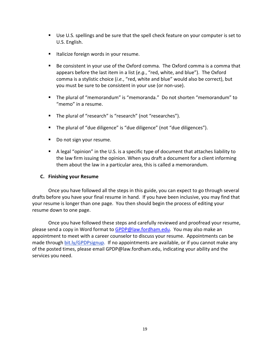- Use U.S. spellings and be sure that the spell check feature on your computer is set to U.S. English.
- **Italicize foreign words in your resume.**
- Be consistent in your use of the Oxford comma. The Oxford comma is a comma that appears before the last item in a list (*e.g.*, "red, white, and blue"). The Oxford comma is a stylistic choice (*i.e.*, "red, white and blue" would also be correct), but you must be sure to be consistent in your use (or non-use).
- The plural of "memorandum" is "memoranda." Do not shorten "memorandum" to "memo" in a resume.
- **The plural of "research" is "research" (not "researches").**
- The plural of "due diligence" is "due diligence" (not "due diligences").
- Do not sign your resume.
- A legal "opinion" in the U.S. is a specific type of document that attaches liability to the law firm issuing the opinion. When you draft a document for a client informing them about the law in a particular area, this is called a memorandum.

#### **C. Finishing your Resume**

Once you have followed all the steps in this guide, you can expect to go through several drafts before you have your final resume in hand. If you have been inclusive, you may find that your resume is longer than one page. You then should begin the process of editing your resume down to one page.

Once you have followed these steps and carefully reviewed and proofread your resume, please send a copy in Word format to [GPDP@law.fordham.edu.](mailto:GPDP@law.fordham.edu) You may also make an appointment to meet with a career counselor to discuss your resume. Appointments can be made through bit.ly/GPDPsignup. If no appointments are available, or if you cannot make any of the posted times, please email GPDP@law.fordham.edu, indicating your ability and the services you need.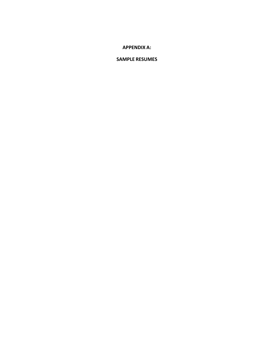# **APPENDIX A:**

#### **SAMPLE RESUMES**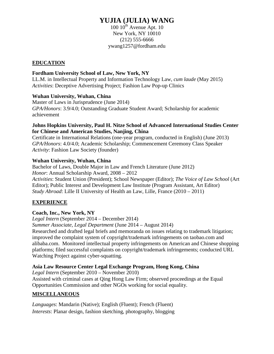# **YUJIA (JULIA) WANG**

 $100 10^{th}$  Avenue Apt. 10 New York, NY 10010 (212) 555-6666 ywang1257@fordham.edu

# **EDUCATION**

# **Fordham University School of Law, New York, NY**

LL.M. in Intellectual Property and Information Technology Law, *cum laude* (May 2015) *Activities*: Deceptive Advertising Project; Fashion Law Pop-up Clinics

# **Wuhan University, Wuhan, China**

Master of Laws in Jurisprudence (June 2014) *GPA/Honors*: 3.9/4.0; Outstanding Graduate Student Award; Scholarship for academic achievement

# **Johns Hopkins University, Paul H. Nitze School of Advanced International Studies Center for Chinese and American Studies, Nanjing, China**

Certificate in International Relations (one-year program, conducted in English) (June 2013) *GPA/Honors*: 4.0/4.0; Academic Scholarship; Commencement Ceremony Class Speaker *Activity*: Fashion Law Society (founder)

# **Wuhan University, Wuhan, China**

Bachelor of Laws, Double Major in Law and French Literature (June 2012) *Honor*: Annual Scholarship Award, 2008 – 2012 *Activities*: Student Union (President); School Newspaper (Editor); *The Voice of Law School* (Art Editor); Public Interest and Development Law Institute (Program Assistant, Art Editor) *Study Abroad*: Lille II University of Health an Law, Lille, France (2010 – 2011)

# **EXPERIENCE**

# **Coach, Inc., New York, NY**

*Legal Intern* (September 2014 – December 2014)

*Summer Associate, Legal Department* (June 2014 – August 2014)

Researched and drafted legal briefs and memoranda on issues relating to trademark litigation; improved the complaint system of copyright/trademark infringements on taobao.com and alibaba.com.Monitored intellectual property infringements on American and Chinese shopping platforms; filed successful complaints on copyright/trademark infringements; conducted URL Watching Project against cyber-squatting.

# **Asia Law Resource Center Legal Exchange Program, Hong Kong, China**

*Legal Intern* (September 2010 – November 2010) Assisted with criminal cases at Qing Hong Law Firm; observed proceedings at the Equal Opportunities Commission and other NGOs working for social equality.

# **MISCELLANEOUS**

*Languages*: Mandarin (Native); English (Fluent); French (Fluent) *Interests*: Planar design, fashion sketching, photography, blogging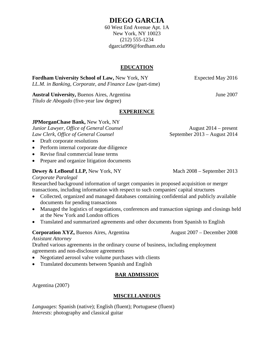# **DIEGO GARCIA**

60 West End Avenue Apt. 1A New York, NY 10023 (212) 555-1234 dgarcia999@fordham.edu

# **EDUCATION**

**Fordham University School of Law, New York, NY** Expected May 2016 *LL.M. in Banking, Corporate, and Finance Law* (part-time)

**Austral University, Buenos Aires, Argentina June 2007 June 2007** *Título de Abogado* (five-year law degree)

# **EXPERIENCE**

# **JPMorganChase Bank,** New York, NY

*Junior Lawyer, Office of General Counsel* August 2014 – present *Law Clerk, Office of General Counsel* September 2013 – August 2014

- Draft corporate resolutions
- Perform internal corporate due diligence
- Revise final commercial lease terms
- Prepare and organize litigation documents

# **Dewey & LeBoeuf LLP, New York, NY** Mach 2008 – September 2013

#### *Corporate Paralegal*

Researched background information of target companies in proposed acquisition or merger transactions, including information with respect to such companies' capital structures

- Collected, organized and managed databases containing confidential and publicly available documents for pending transactions
- Managed the logistics of negotiations, conferences and transaction signings and closings held at the New York and London offices
- Translated and summarized agreements and other documents from Spanish to English

# **Corporation XYZ, Buenos Aires, Argentina** August 2007 – December 2008

#### *Assistant Attorney*

Drafted various agreements in the ordinary course of business, including employment agreements and non-disclosure agreements

- Negotiated aerosol valve volume purchases with clients
- Translated documents between Spanish and English

# **BAR ADMISSION**

Argentina (2007)

# **MISCELLANEOUS**

*Languages*: Spanish (native); English (fluent); Portuguese (fluent) *Interests*: photography and classical guitar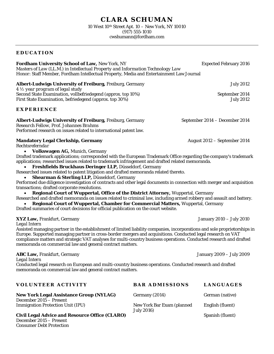# **CLARA SCHUMAN**

10 West 10th Street Apt. 10 – New York, NY 10010 (917) 555-1010 cwshumann@fordham.com

#### **EDUCATION**

**Fordham University School of Law, New York, NY Franch Property 2016** Expected February 2016 *Masters of Law (LL.M.) in Intellectual Property and Information Technology Law Honor*: Staff Member, Fordham Intellectual Property, Media and Entertainment Law Journal

# **Albert-Ludwigs University of Freiburg, Freiburg, Germany Germany State of the State State State State State State State State State State State State State State State State State State State State State State State State**

*4 ½ year program of legal study*  Second State Examination, vollbefriedegend (approx. top 10%) September 2014 First State Examination, befriedegend (approx. top 30%) July 2012

# **EXPERIENCE**

**Albert-Ludwigs University of Freiburg, Freiburg, Germany September 2014 – December 2014** 

*Research Fellow, Prof. Johannes Brahms*  Performed research on issues related to international patent law.

# **Mandatory Legal Clerkship, Germany** August 2012 – September 2014

*Rechtsreferndar*

• **Volkswagen AG,** Munich, Germany

Drafted trademark applications; corresponded with the European Trademark Office regarding the company's trademark applications; researched issues related to trademark infringement and drafted related memoranda.

• **Freshfields Bruckhaus Deringer LLP,** Düsseldorf, Germany

Researched issues related to patent litigation and drafted memoranda related thereto.

• **Shearman & Sterling LLP,** Düsseldorf, Germany

Performed due diligence investigation of contracts and other legal documents in connection with merger and acquisition transactions; drafted corporate resolutions.

• **Regional Court of Wuppertal, Office of the District Attorney,** Wuppertal, Germany

Researched and drafted memoranda on issues related to criminal law, including armed robbery and assault and battery. • **Regional Court of Wuppertal, Chamber for Commercial Matters,** Wuppertal, Germany

Drafted summaries of court decisions for official publication on the court website.

# **XYZ Law,** Frankfurt, Germany January 2010 – July 2010

#### *Legal Intern*

Assisted managing partner in the establishment of limited liability companies, incorporations and sole proprietorships in Europe. Supported managing partner in cross-border mergers and acquisitions. Conducted legal research on VAT compliance matters and strategic VAT analyses for multi-country business operations. Conducted research and drafted memoranda on commercial law and general contract matters.

#### **ABC Law,** Frankfurt, Germany January 2009 – July 2009

*Legal Intern*

Conducted legal research on European and multi-country business operations. Conducted research and drafted memoranda on commercial law and general contract matters.

| <b>VOLUNTEER ACTIVITY</b>                             | <b>BAR ADMISSIONS</b>                            | <b>LANGUAGES</b> |
|-------------------------------------------------------|--------------------------------------------------|------------------|
| <b>New York Legal Assistance Group (NYLAG)</b>        | Germany (2014)                                   | German (native)  |
| December 2015 – Present                               |                                                  |                  |
| <b>Immigration Protection Unit (IPU)</b>              | New York Bar Exam (planned<br><b>July 2016</b> ) | English (fluent) |
| <b>Civil Legal Advice and Resource Office (CLARO)</b> |                                                  | Spanish (fluent) |
| December 2015 – Present                               |                                                  |                  |
| <b>Consumer Debt Protection</b>                       |                                                  |                  |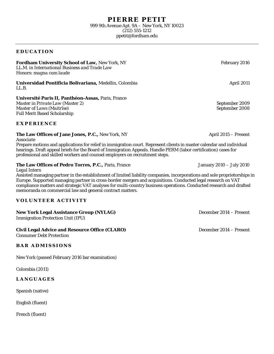#### **EDUCATION**

#### **Fordham University School of Law, New York, NY February 2016** February 2016

*LL.M. in International Business and Trade Law*  Honors: *magna cum laude*

**Universidad Pontificia Bolivariana,** Medellin, Colombia **April 2011** April 2011 *LL.B.* 

**Université Paris II, Panthéon-Assas,** Paris, France

*Master in Private Law (Master 2)*<br> *Master of Laws (Maitrîse)*<br>
September 2008 *Master of Laws (Maitrîse)* Full Merit Based Scholarship

**EXPERIENCE**

#### **The Law Offices of Jane Jones, P.C., New York, NY April 2015 – Present April 2015 – Present**

*Associate*

Prepare motions and applications for relief in immigration court. Represent clients in master calendar and individual hearings. Draft appeal briefs for the Board of Immigration Appeals. Handle PERM (labor certification) cases for professional and skilled workers and counsel employers on recruitment steps.

#### **The Law Offices of Pedro Torres, P.C., Paris, France Media 2010 – July 2010** January 2010 – July 2010

*Legal Intern*

Assisted managing partner in the establishment of limited liability companies, incorporations and sole proprietorships in Europe. Supported managing partner in cross-border mergers and acquisitions. Conducted legal research on VAT compliance matters and strategic VAT analyses for multi-country business operations. Conducted research and drafted memoranda on commercial law and general contract matters.

#### **VOLUNTEER ACTIVITY**

#### **New York Legal Assistance Group (NYLAG)** December 2014 – Present

Immigration Protection Unit (IPU)

#### **Civil Legal Advice and Resource Office (CLARO)** December 2014 – Present

Consumer Debt Protection

#### **BAR ADMISSIONS**

New York (passed February 2016 bar examination)

Colombia (2011)

#### **LANGUAGES**

Spanish (native)

English (fluent)

French (fluent)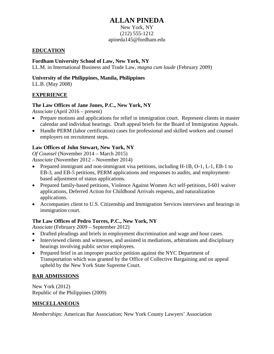# **ALLAN PINEDA**

#### New York, NY (212) 555-1212 apineda145@fordham.edu

# **EDUCATION**

# **Fordham University School of Law, New York, NY**

LL.M. in International Business and Trade Law, *magna cum laude* (February 2009)

# **University of the Philippines, Manila, Philippines**

LL.B. (May 2008)

# **EXPERIENCE**

# **The Law Offices of Jane Jones, P.C., New York, NY**

*Associate* (April 2016 – present)

- Prepare motions and applications for relief in immigration court. Represent clients in master calendar and individual hearings. Draft appeal briefs for the Board of Immigration Appeals.
- Handle PERM (labor certification) cases for professional and skilled workers and counsel employers on recruitment steps.

# **Law Offices of John Stewart, New York, NY**

*Of Counsel* (November 2014 – March 2015) *Associate* (November 2012 – November 2014)

- Prepared immigrant and non-immigrant visa petitions, including H-1B, O-1, L-1, EB-1 to EB-3, and EB-5 petitions, PERM applications and responses to audits, and employmentbased adjustment of status applications.
- Prepared family-based petitions, Violence Against Women Act self-petitions, I-601 waiver applications, Deferred Action for Childhood Arrivals requests, and naturalization applications.
- Accompanies client to U.S. Citizenship and Immigration Services interviews and hearings in immigration court.

# **The Law Offices of Pedro Torres, P.C., New York, NY**

*Associate* (February 2009 – September 2012)

- Drafted pleadings and briefs in employment discrimination and wage and hour cases.
- Interviewed clients and witnesses, and assisted in mediations, arbitrations and disciplinary hearings involving public sector employees.
- Prepared brief in an improper practice petition against the NYC Department of Transportation which was granted by the Office of Collective Bargaining and on appeal upheld by the New York State Supreme Court.

# **BAR ADMISSIONS**

New York (2012) Republic of the Philippines (2009)

# **MISCELLANEOUS**

*Memberships*: American Bar Association; New York County Lawyers' Association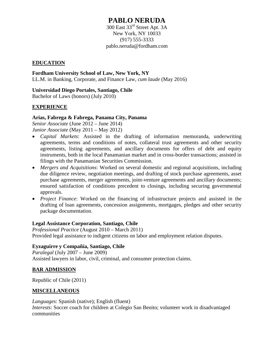# **PABLO NERUDA**

300 East 33rd Street Apt. 3A New York, NY 10033 (917) 555-3333 pablo.neruda@fordham.com

# **EDUCATION**

**Fordham University School of Law, New York, NY** LL.M. in Banking, Corporate, and Finance Law, *cum laude* (May 2016)

**Universidad Diego Portales, Santiago, Chile** Bachelor of Laws (honors) (July 2010)

# **EXPERIENCE**

# **Arias, Fabrega & Fabrega, Panama City, Panama**

*Senior Associate* (June 2012 – June 2014)

*Junior Associate* (May 2011 – May 2012)

- *Capital Markets*: Assisted in the drafting of information memoranda, underwriting agreements, terms and conditions of notes, collateral trust agreements and other security agreements, listing agreements, and ancillary documents for offers of debt and equity instruments, both in the local Panamanian market and in cross-border transactions; assisted in filings with the Panamanian Securities Commission.
- *Mergers and Acquisitions*: Worked on several domestic and regional acquisitions, including due diligence review, negotiation meetings, and drafting of stock purchase agreements, asset purchase agreements, merger agreements, joint-venture agreements and ancillary documents; ensured satisfaction of conditions precedent to closings, including securing governmental approvals.
- *Project Finance*: Worked on the financing of infrastructure projects and assisted in the drafting of loan agreements, concession assignments, mortgages, pledges and other security package documentation.

# **Legal Assistance Corporation, Santiago, Chile**

*Professional Practice* (August 2010 – March 2011) Provided legal assistance to indigent citizens on labor and employment relation disputes.

# **Eyzaguirre y Compañía, Santiago, Chile**

*Paralegal* (July 2007 – June 2009) Assisted lawyers in labor, civil, criminal, and consumer protection claims.

# **BAR ADMISSION**

Republic of Chile (2011)

# **MISCELLANEOUS**

*Languages*: Spanish (native); English (fluent) *Interests*: Soccer coach for children at Colegio San Benito; volunteer work in disadvantaged communities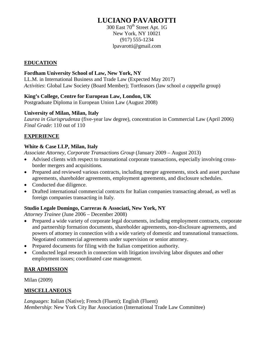# **LUCIANO PAVAROTTI**

300 East 70<sup>th</sup> Street Apt. 1G New York, NY 10021 (917) 555-1234 lpavarotti@gmail.com

# **EDUCATION**

# **Fordham University School of Law, New York, NY**

LL.M. in International Business and Trade Law (Expected May 2017) *Activities*: Global Law Society (Board Member); Tortfeasors (law school *a cappella* group)

# **King's College, Centre for European Law, London, UK**

Postgraduate Diploma in European Union Law (August 2008)

# **University of Milan, Milan, Italy**

*Laurea in Giurisprudenza* (five-year law degree), concentration in Commercial Law (April 2006) *Final Grade*: 110 out of 110

# **EXPERIENCE**

# **White & Case LLP, Milan, Italy**

*Associate Attorney, Corporate Transactions Group* (January 2009 – August 2013)

- Advised clients with respect to transnational corporate transactions, especially involving crossborder mergers and acquisitions.
- Prepared and reviewed various contracts, including merger agreements, stock and asset purchase agreements, shareholder agreements, employment agreements, and disclosure schedules.
- Conducted due diligence.
- Drafted international commercial contracts for Italian companies transacting abroad, as well as foreign companies transacting in Italy.

# **Studio Legale Domingo, Carreras & Associati, New York, NY**

*Attorney Trainee* (June 2006 – December 2008)

- Prepared a wide variety of corporate legal documents, including employment contracts, corporate and partnership formation documents, shareholder agreements, non-disclosure agreements, and powers of attorney in connection with a wide variety of domestic and transnational transactions. Negotiated commercial agreements under supervision or senior attorney.
- Prepared documents for filing with the Italian competition authority.
- Conducted legal research in connection with litigation involving labor disputes and other employment issues; coordinated case management.

# **BAR ADMISSION**

Milan (2009)

# **MISCELLANEOUS**

*Languages*: Italian (Native); French (Fluent); English (Fluent) *Membership*: New York City Bar Association (International Trade Law Committee)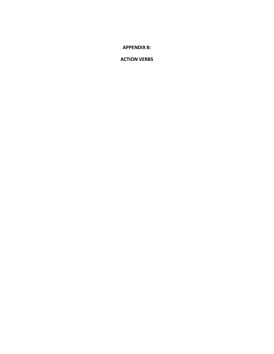**APPENDIX B:**

**ACTION VERBS**